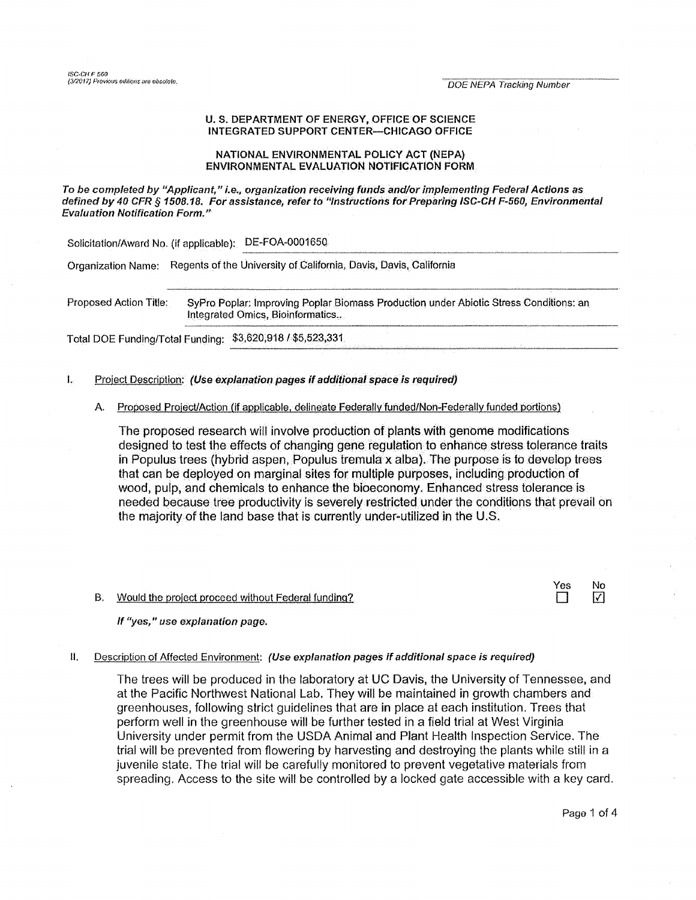## U. S. DEPARTMENT OF ENERGY, OFFICE OF SCIENCE INTEGRATED SUPPORT CENTER-CHICAGO OFFICE

## NATIONAL ENVIRONMENTAL POLICY ACT (NEPA) ENVIRONMENTAL EVALUATION NOTIFICATION FORM

## To be completed by "Applicant," i.e., organization receiving funds and/or implementing Federal Actions as defined by 40 CFR § 1508.18. For assistance, refer to "instructions for Preparing ISC-CH F-560, Environmental **Evaluation Notification Form."**

Solicitation/Award No. (if applicable): DE-FOA-0001650

Organization Name: Regents of the University of California, Davis, Davis, California

Proposed Action Title: SyPro Poplar: Improving Poplar Biomass Production under Abiotic Stress Conditions: an Integrated Omics, Bioinformatics...

Total DOE Funding/Total Funding: \$3,620,918 / \$5,523,331

### Ĭ. Project Description: (Use explanation pages if additional space is required)

# A. Proposed Project/Action (if applicable, delineate Federally funded/Non-Federally funded portions)

The proposed research will involve production of plants with genome modifications designed to test the effects of changing gene regulation to enhance stress tolerance traits in Populus trees (hybrid aspen, Populus tremula x alba). The purpose is to develop trees that can be deployed on marginal sites for multiple purposes, including production of wood, pulp, and chemicals to enhance the bioeconomy. Enhanced stress tolerance is needed because tree productivity is severely restricted under the conditions that prevail on the majority of the land base that is currently under-utilized in the U.S.

#### Would the project proceed without Federal funding? **B.**



If "yes," use explanation page,

#### Description of Affected Environment: (Use explanation pages if additional space is required) Н.

The trees will be produced in the laboratory at UC Davis, the University of Tennessee, and at the Pacific Northwest National Lab. They will be maintained in growth chambers and greenhouses, following strict guidelines that are in place at each institution. Trees that perform well in the greenhouse will be further tested in a field trial at West Virginia University under permit from the USDA Animal and Plant Health Inspection Service. The trial will be prevented from flowering by harvesting and destroying the plants while still in a juvenile state. The trial will be carefully monitored to prevent vegetative materials from spreading. Access to the site will be controlled by a locked gate accessible with a key card.

Page 1 of 4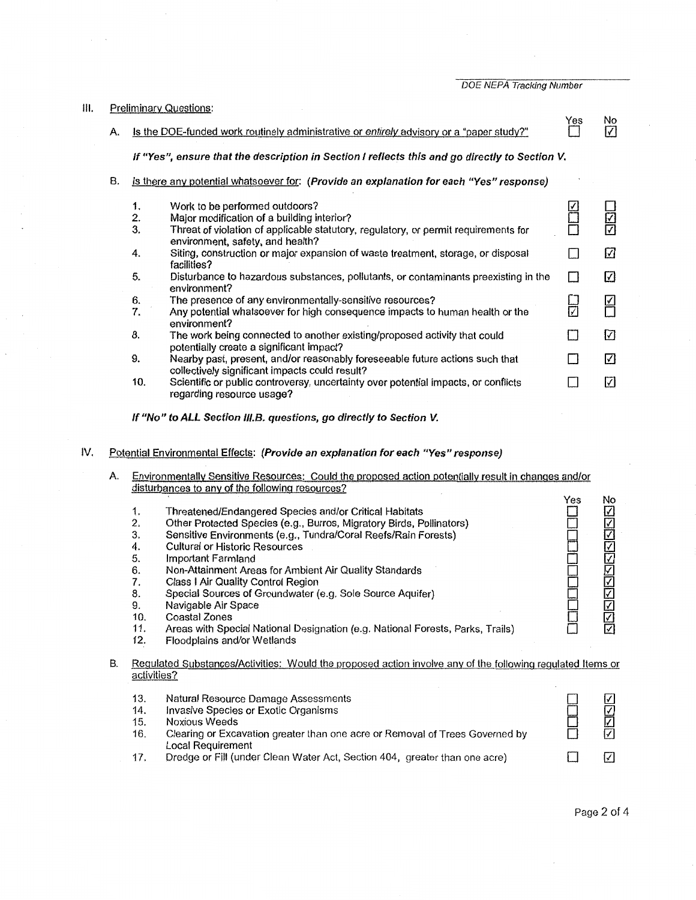| III. |    | <b>Preliminary Questions:</b>                                                                  |                                                                                                                                |     |                 |  |  |  |
|------|----|------------------------------------------------------------------------------------------------|--------------------------------------------------------------------------------------------------------------------------------|-----|-----------------|--|--|--|
|      | A. |                                                                                                | Is the DOE-funded work routinely administrative or entirely advisory or a "paper study?"                                       | Yes | No<br>$\sqrt{}$ |  |  |  |
|      |    | If "Yes", ensure that the description in Section I reflects this and go directly to Section V. |                                                                                                                                |     |                 |  |  |  |
|      | В. |                                                                                                | Is there any potential whatsoever for: (Provide an explanation for each "Yes" response)                                        |     |                 |  |  |  |
|      |    | 1.                                                                                             | Work to be performed outdoors?                                                                                                 |     |                 |  |  |  |
|      |    | $\tilde{z}$                                                                                    | Major modification of a building interior?                                                                                     |     | 김진              |  |  |  |
|      |    | 3.                                                                                             | Threat of violation of applicable statutory, regulatory, or permit requirements for<br>environment, safety, and health?        |     |                 |  |  |  |
|      |    | 4.                                                                                             | Siting, construction or major expansion of waste treatment, storage, or disposal<br>facilities?                                |     | ☑               |  |  |  |
|      |    | 5.                                                                                             | Disturbance to hazardous substances, pollutants, or contaminants preexisting in the<br>environment?                            | П   | ☑               |  |  |  |
|      |    | 6.                                                                                             | The presence of any environmentally-sensitive resources?                                                                       |     |                 |  |  |  |
|      |    | 7.                                                                                             | Any potential whatsoever for high consequence impacts to human health or the<br>environment?                                   | ╔   | ⊬               |  |  |  |
|      |    | 8.                                                                                             | The work being connected to another existing/proposed activity that could<br>potentially create a significant impact?          | П   | ☑               |  |  |  |
|      |    | 9.                                                                                             | Nearby past, present, and/or reasonably foreseeable future actions such that<br>collectively significant impacts could result? | Π   | ☑               |  |  |  |
|      |    | 10.                                                                                            | Scientific or public controversy, uncertainty over potential impacts, or conflicts<br>regarding resource usage?                |     | ☑               |  |  |  |

**If "No" to ALL Section 111.B. questions, go directly to Section** *V.* 

# IV. Potential Environmental Effects: **(Provide an explanation for each "Yes" response)**

| Environmentally Sensitive Resources: Could the proposed action potentially result in changes and/or |
|-----------------------------------------------------------------------------------------------------|
| disturbances to any of the following resources?                                                     |

|    | 1.<br>2.<br>3.<br>4.<br>5.<br>6.<br>7.<br>8.<br>9.<br>10.<br>11.<br>12. | Threatened/Endangered Species and/or Critical Habitats<br>Other Protected Species (e.g., Burros, Migratory Birds, Pollinators)<br>Sensitive Environments (e.g., Tundra/Coral Reefs/Rain Forests)<br><b>Cultural or Historic Resources</b><br>Important Farmland<br>Non-Attainment Areas for Ambient Air Quality Standards<br>Class   Air Quality Control Region<br>Special Sources of Groundwater (e.g. Sole Source Aquifer)<br>Navigable Air Space<br>Coastal Zones<br>Areas with Special National Designation (e.g. National Forests, Parks, Trails)<br>Floodplains and/or Wetlands | Yes | No<br>V<br>⊽<br>⊽<br>지지지지지지<br><b>NNN</b> |
|----|-------------------------------------------------------------------------|---------------------------------------------------------------------------------------------------------------------------------------------------------------------------------------------------------------------------------------------------------------------------------------------------------------------------------------------------------------------------------------------------------------------------------------------------------------------------------------------------------------------------------------------------------------------------------------|-----|-------------------------------------------|
| В. | activities?                                                             | Regulated Substances/Activities: Would the proposed action involve any of the following regulated Items or                                                                                                                                                                                                                                                                                                                                                                                                                                                                            |     |                                           |
|    | 13.<br>14.<br>15.<br>16.                                                | Natural Resource Damage Assessments<br>Invasive Species or Exotic Organisms<br>Noxious Weeds<br>Clearing or Excavation greater than one acre or Removal of Trees Governed by<br>Local Requirement                                                                                                                                                                                                                                                                                                                                                                                     |     | ☑<br>⊽<br>⊽                               |
|    | 17.                                                                     | Dredge or Fill (under Clean Water Act, Section 404, greater than one acre)                                                                                                                                                                                                                                                                                                                                                                                                                                                                                                            |     | V                                         |

Page 2 of 4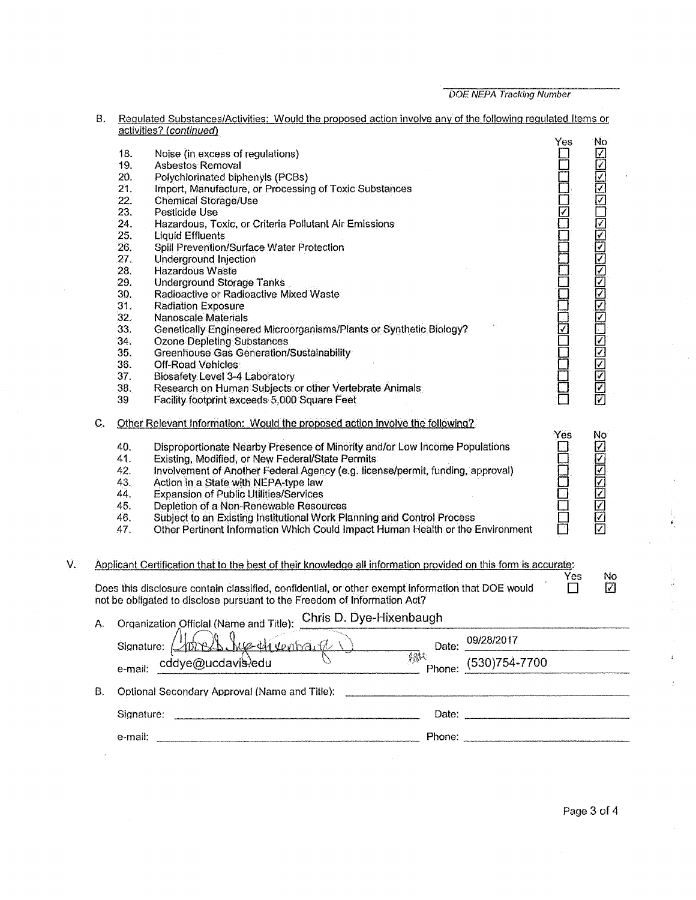| В.                   | Regulated Substances/Activities: Would the proposed action involve any of the following regulated Items or<br>activities? (continued) |                                                                                                                                                                               |       |                                                                                                                                                                                                                                |                       |                         |
|----------------------|---------------------------------------------------------------------------------------------------------------------------------------|-------------------------------------------------------------------------------------------------------------------------------------------------------------------------------|-------|--------------------------------------------------------------------------------------------------------------------------------------------------------------------------------------------------------------------------------|-----------------------|-------------------------|
|                      |                                                                                                                                       |                                                                                                                                                                               |       |                                                                                                                                                                                                                                | Yes.                  | No.                     |
|                      | 18.                                                                                                                                   | Noise (in excess of regulations)                                                                                                                                              |       |                                                                                                                                                                                                                                |                       |                         |
|                      | 19.                                                                                                                                   | Asbestos Removal                                                                                                                                                              |       |                                                                                                                                                                                                                                |                       | 의지지                     |
|                      | 20.                                                                                                                                   | Polychlorinated biphenyls (PCBs)                                                                                                                                              |       |                                                                                                                                                                                                                                |                       |                         |
|                      | 21.                                                                                                                                   | Import, Manufacture, or Processing of Toxic Substances                                                                                                                        |       |                                                                                                                                                                                                                                |                       |                         |
|                      | 22.                                                                                                                                   | Chemical Storage/Use                                                                                                                                                          |       |                                                                                                                                                                                                                                |                       |                         |
|                      | 23.                                                                                                                                   | Pesticide Use                                                                                                                                                                 |       |                                                                                                                                                                                                                                | $\overline{\sqrt{2}}$ |                         |
|                      | 24.                                                                                                                                   | Hazardous, Toxic, or Criteria Pollutant Air Emissions                                                                                                                         |       |                                                                                                                                                                                                                                |                       |                         |
|                      | 25.                                                                                                                                   | <b>Liquid Effluents</b>                                                                                                                                                       |       |                                                                                                                                                                                                                                |                       | <u>rkriskriskrisk</u>   |
|                      | 26.                                                                                                                                   | Spill Prevention/Surface Water Protection                                                                                                                                     |       |                                                                                                                                                                                                                                |                       |                         |
|                      | 27.                                                                                                                                   | Underground Injection                                                                                                                                                         |       |                                                                                                                                                                                                                                |                       |                         |
|                      | 28.                                                                                                                                   | Hazardous Waste                                                                                                                                                               |       |                                                                                                                                                                                                                                |                       |                         |
|                      | 29.                                                                                                                                   | <b>Underground Storage Tanks</b>                                                                                                                                              |       |                                                                                                                                                                                                                                |                       |                         |
|                      | 30.                                                                                                                                   | Radioactive or Radioactive Mixed Waste                                                                                                                                        |       |                                                                                                                                                                                                                                |                       |                         |
|                      | 31.                                                                                                                                   | <b>Radiation Exposure</b>                                                                                                                                                     |       |                                                                                                                                                                                                                                |                       |                         |
|                      | 32.                                                                                                                                   | Nanoscale Materials                                                                                                                                                           |       |                                                                                                                                                                                                                                |                       |                         |
|                      | 33.                                                                                                                                   | Genetically Engineered Microorganisms/Plants or Synthetic Biology?                                                                                                            |       |                                                                                                                                                                                                                                | $\triangledown$       |                         |
|                      | 34.                                                                                                                                   | <b>Ozone Depleting Substances</b>                                                                                                                                             |       |                                                                                                                                                                                                                                |                       |                         |
|                      | 35.                                                                                                                                   | Greenhouse Gas Generation/Sustainability                                                                                                                                      |       |                                                                                                                                                                                                                                |                       |                         |
|                      |                                                                                                                                       |                                                                                                                                                                               |       |                                                                                                                                                                                                                                |                       | बबब                     |
|                      | 36.                                                                                                                                   | Off-Road Vehicles                                                                                                                                                             |       |                                                                                                                                                                                                                                |                       |                         |
|                      | 37.                                                                                                                                   | <b>Biosafety Level 3-4 Laboratory</b>                                                                                                                                         |       |                                                                                                                                                                                                                                |                       |                         |
|                      | 38.<br>39                                                                                                                             | Research on Human Subjects or other Vertebrate Animals<br>Facility footprint exceeds 5,000 Square Feet                                                                        |       |                                                                                                                                                                                                                                |                       | <b>K</b><br>K           |
|                      |                                                                                                                                       |                                                                                                                                                                               |       |                                                                                                                                                                                                                                |                       |                         |
| $\mathbf{C}_{\star}$ |                                                                                                                                       | Other Relevant Information: Would the proposed action involve the following?                                                                                                  |       |                                                                                                                                                                                                                                | Yes                   | No                      |
|                      | 40.                                                                                                                                   | Disproportionate Nearby Presence of Minority and/or Low Income Populations                                                                                                    |       |                                                                                                                                                                                                                                |                       | <u> 지지지지지지지</u>         |
|                      | 41.                                                                                                                                   | Existing, Modified, or New Federal/State Permits                                                                                                                              |       |                                                                                                                                                                                                                                |                       |                         |
|                      | 42.                                                                                                                                   | Involvement of Another Federal Agency (e.g. license/permit, funding, approval)                                                                                                |       |                                                                                                                                                                                                                                |                       |                         |
|                      | 43.                                                                                                                                   | Action in a State with NEPA-type law                                                                                                                                          |       |                                                                                                                                                                                                                                |                       |                         |
|                      | 44.                                                                                                                                   | <b>Expansion of Public Utilities/Services</b>                                                                                                                                 |       |                                                                                                                                                                                                                                |                       |                         |
|                      | 45.                                                                                                                                   | Depletion of a Non-Renewable Resources                                                                                                                                        |       |                                                                                                                                                                                                                                |                       |                         |
|                      | 46.                                                                                                                                   | Subject to an Existing Institutional Work Planning and Control Process                                                                                                        |       |                                                                                                                                                                                                                                |                       | $\overline{\mathbf{z}}$ |
|                      | 47.                                                                                                                                   | Other Pertinent Information Which Could Impact Human Health or the Environment                                                                                                |       |                                                                                                                                                                                                                                |                       | ☑                       |
|                      |                                                                                                                                       |                                                                                                                                                                               |       |                                                                                                                                                                                                                                |                       |                         |
|                      |                                                                                                                                       | Applicant Certification that to the best of their knowledge all information provided on this form is accurate:                                                                |       |                                                                                                                                                                                                                                | Yes                   | No                      |
|                      |                                                                                                                                       | Does this disclosure contain classified, confidential, or other exempt information that DOE would<br>not be obligated to disclose pursuant to the Freedom of Information Act? |       |                                                                                                                                                                                                                                |                       | ☑                       |
| A.                   |                                                                                                                                       | Organization Official (Name and Title): Chris D. Dye-Hixenbaugh                                                                                                               |       |                                                                                                                                                                                                                                |                       |                         |
|                      | Signature:                                                                                                                            | Worrsh Sue Hivenback                                                                                                                                                          | Date: | 09/28/2017                                                                                                                                                                                                                     |                       |                         |
|                      |                                                                                                                                       | e-mail: cddye@ucdavis.edu                                                                                                                                                     | 燃入    | Phone: $(530)754 - 7700$                                                                                                                                                                                                       |                       |                         |
| В.                   |                                                                                                                                       | Optional Secondary Approval (Name and Title):                                                                                                                                 |       |                                                                                                                                                                                                                                |                       |                         |
|                      |                                                                                                                                       |                                                                                                                                                                               |       | Date: the contract of the contract of the contract of the contract of the contract of the contract of the contract of the contract of the contract of the contract of the contract of the contract of the contract of the cont |                       |                         |
|                      |                                                                                                                                       |                                                                                                                                                                               |       |                                                                                                                                                                                                                                |                       |                         |
|                      |                                                                                                                                       |                                                                                                                                                                               |       |                                                                                                                                                                                                                                |                       |                         |

v.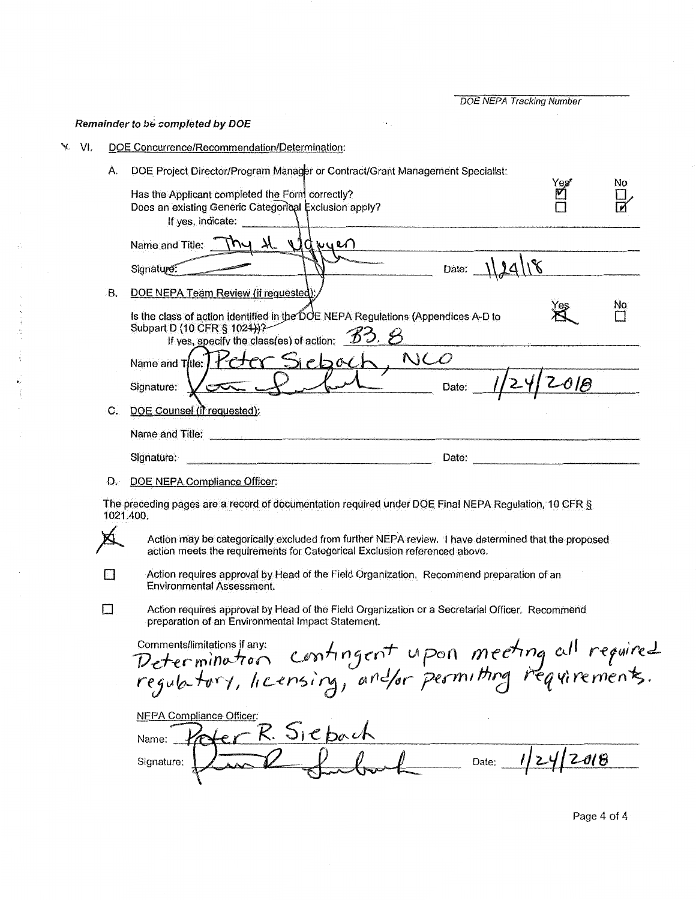### Remainder to be completed by DOE

- DOE Concurrence/Recommendation/Determination: V VI.
	- DOE Project Director/Program Manager or Contract/Grant Management Specialist: À. No Has the Applicant completed the Form correctly? M  $\frac{\Box}{\blacksquare}$ Does an existing Generic Categorical Exclusion apply?

|    | If yes, indicate:                                                                                                                                                               |  |
|----|---------------------------------------------------------------------------------------------------------------------------------------------------------------------------------|--|
|    | awuen<br>Name and Title:<br>u                                                                                                                                                   |  |
|    | Date:<br>Signature:                                                                                                                                                             |  |
| в. | DOE NEPA Team Review (if requested)                                                                                                                                             |  |
|    | No<br>'es<br>Is the class of action identified in the DOE NEPA Regulations (Appendices A-D to<br>Subpart D (10 CFR § 1024))?<br>If yes, specify the class(es) of action: $33.8$ |  |
|    | NCO<br>Name and Title:                                                                                                                                                          |  |
|    | 0 I B<br>Date:<br>Signature:                                                                                                                                                    |  |
| С. | DOE Counsel (if requested):                                                                                                                                                     |  |
|    | Name and Title:                                                                                                                                                                 |  |
|    | Signature:<br>Date:                                                                                                                                                             |  |

D. DOE NEPA Compliance Officer:

 $\Box$ 

 $\Box$ 

The preceding pages are a record of documentation required under DOE Final NEPA Regulation, 10 CFR § 1021.400.

Action may be categorically excluded from further NEPA review. I have determined that the proposed action meets the requirements for Categorical Exclusion referenced above.

Action requires approval by Head of the Field Organization. Recommend preparation of an **Environmental Assessment.** 

Action requires approval by Head of the Field Organization or a Secretarial Officer. Recommend preparation of an Environmental Impact Statement.

comments/limitations if any: contingent upon meeting cill required **NEPA Compliance Officer:**  $er R. Siebach$ Name:  $\ell$ Date:  $1/24/2018$ Signature: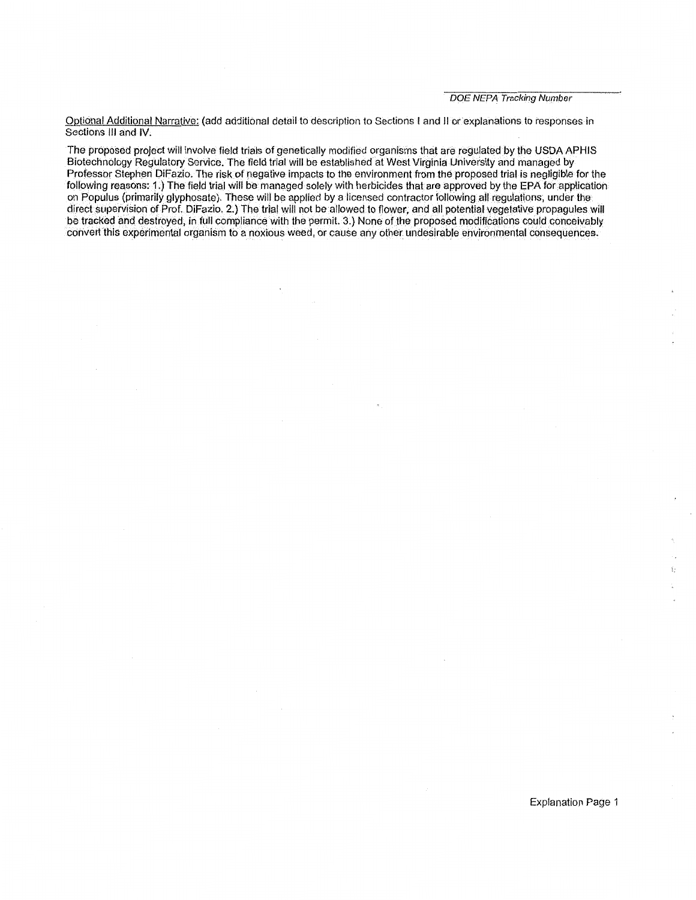Optional Additional Narrative: (add additional detail to description to Sections I and JI orexplanations to responses in Sections Ill and IV.

The proposed project will involve field trials of genetically modified organisms that are regulated by the USDA APHIS Biotechnology Regulatory Service. The field trial will be established at West Virginia University and managed by Professor Stephen DiFazio. The risk of negative impacts to the environment from the proposed trial is negligible for the following reasons: 1.) The field trial will be managed solely with herbicides that are approved by the EPA for application on Populus (primarily glyphosate). These will be applied by a licensed contractor following all regulations, under the direct supervision of Prof. DiFazio. 2.) The trial will not be allowed to flower, and all potential vegetative propagules will be tracked and destroyed, in full compliance with the permit. 3.) None of the proposed modifications could conceivably convert this experimental organism to a noxious weed, or cause any other undesirable environmental consequences.·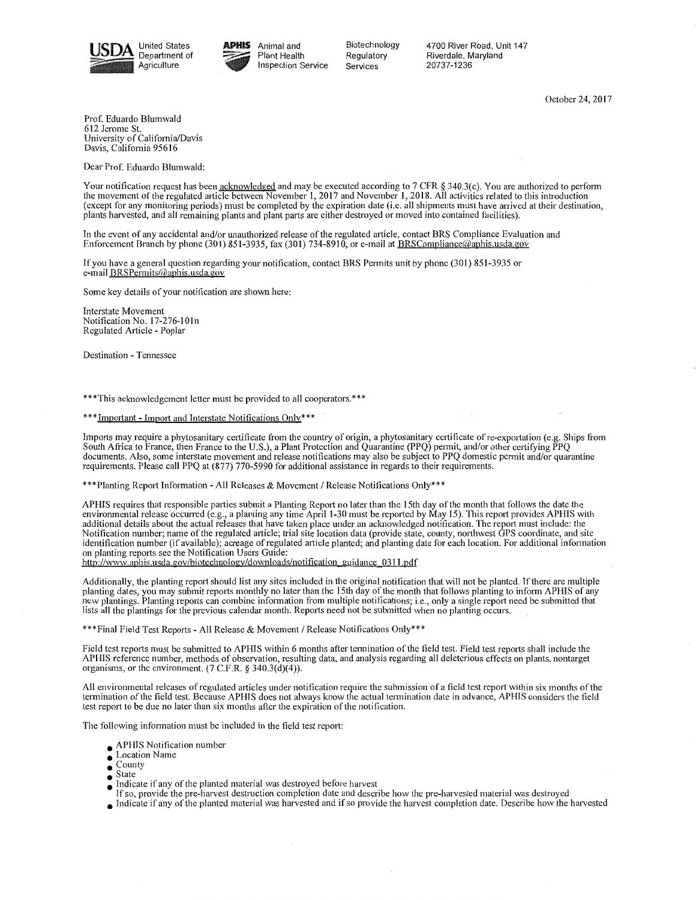



Biotechnology Regulatory Services

4700 River Road, Unit 147 Riverdale, Maryland 20737-1236

October 24, 2017

Prof. Eduardo Blumwald 612 Jerome St. University of California/Davis Davis, Califomia 95616

Dear Prof. Eduardo Blumwald:

Your notification request has been **acknowledged** and may be executed according to 7 CFR § 340.3(c). You are authorized to perform the movement of the regulated article between November 1, 2017 and November 1, 2018. All activities related to this introduction (except for any monitoring periods) must be completed by the expiration date (i.e. all shipments must have arrived at their destination, plants harvested, and all remaining plants and plant parts are either destroyed or moved into contained facilities).

In the event of any accidental and/or unauthorized release of the regulated article, contact BRS Compliance Evaluation and Enforcement Branch by phone (301) 851-3935, fax (301) 734-8910, or e-mail at BRSCompliance (algonesis, usda.gov

If you have a general question regarding your notification, contact BRS Permits unit by phone (301) 851-3935 or e-mail BRSPermits@aphis.usda.gov

Some key details of your notification are shown here:

Interstate Movement Notification No. 17-276-lOln Regulated Article - Poplar

Destination - Tennessee

\*\*\*This acknowledgement letter must be provided to all cooperators.\*\*\*

\*\*\*Important - Import and Interstate Notifications Only\*\*\*

Imports may require a phytosanitary certificate from the country of origin, a phytosanitary certificate of re-exportation (e.g. Ships from South Africa to France, then France to the U.S.), a Plant Protection and Quarantine (PPQ) permit, and/or other certifying PPQ documents. Also, some interstate movement and release notifications may also be subject to PPQ domestic permit and/or quarantine requirements. Please call PPQ at (877) 770-5990 for additional assistance in regards to their requirements.

\*\*\*Planting Report Information -All Releases & Movement/ Release Notifications Only\*\*\*

APHIS requires that responsible parties submit a Planting Report no later than the 15th day of the month that follows the date the environmental release occurred (e.g., a planting any time April 1-30 must be reported by May 15). This report provides APHIS with additional details about the actual releases that have taken place under an acknowledged notification. The report must include: the Notification number; name of the regulated article; trial site location data (provide state, county, northwest GPS coordinate, and site identification number (if available); acreage of regulated article planted; and planting date for each location. For additional information on planting reports see the Notification Users Guide:

http://www.aphis.usda.gov/biotechnology/downloads/notification\_guidance\_0311.pdf

Additionally, the planting report should list any sites included in the original notification that will not be planted. If there are multiple planting dates, you may submit reports monthly no later than the 15th day of the month that follows planting to inform APHIS of any new plantings. Planting reports can combine information from multiple notifications; i.e., only a single report need be submitted that lists all the plantings for the previous calendar month. Reports need not be submitted when no planting occurs.

\*\*\*Final Field Test Reports - All Release & Movement/ Release Notifications Only\*\*\*

Field test reports must be submitted to APHIS within 6 months after termination of the field test. Field test reports shall include the APHIS reference number, methods of observation, resulting data, and analysis regarding all deleterious effects on plants, nontarget organisms, or the environment. (7 C.F.R. § 340.3(d)(4)).

All environmental releases of regulated articles under notification require the submission of a field test report within six months of the termination of the field test. Because APHIS does not always know the actual termination date in advance, APHIS considers the field test report to be due no later than six months after the expiration of the notification.

The following information must be included in the field test report:

- APHIS Notification number
- Location Name
- County<br>• State
- $\bullet$  Indicate if any of the planted material was destroyed before harvest
	- If so, provide the pre-harvest destruction completion date and describe how the pre-harvested material was destroyed
- Indicate if any of the planted material was harvested and if so provide the harvest completion date. Describe how the harvested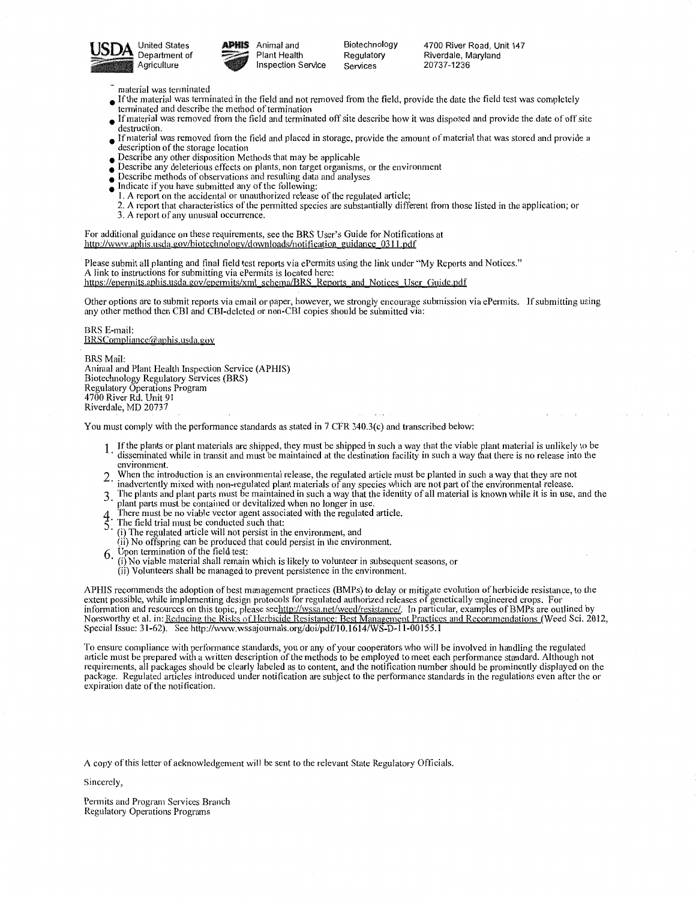



Plant Health Inspection Service

Biotechnology Regulatory Services

4700 River Road, Unit 147 Riverdale, Maryland 20737-1236

- material was terminated
- If the material was terminated in the field and not removed from the field, provide the date the field test was completely terminated and describe the method of termination
- If material was removed from the field and terminated off site describe how it was disposed and provide the date of off site destruction.
- If material was removed from the field and placed in storage, provide the amount of material that was stored and provide a description of the storage location
- Describe any other disposition Methods that may be applicable
- Describe any deleterious effects on plants, non target organisms, or the environment
- Describe methods of observations and resulting data and analyses
- Indicate if you have submitted any of the following: I. A report on the accidental or unauthorized release of the regulated article;
- 2. A report that characteristics of the permitted species are substantially different from those listed in the application; or 3. A report of any unusual occurrence.

For additional guidance on these requirements, see the BRS User's Guide for Notifications at

http://www.aphis.usda.gov/biotechnology/downloads/notification guidance 0311.pdf

Please submit all planting and final field test reports via ePermits using the link under "My Reports and Notices." A link to instructions for submitting via ePermits is located here: https://epermits.aphis.usda.gov/epermits/xml schema/BRS Reports and Notices User Guide.pdf

Other options are to submit reports via email or paper, however, we strongly encourage submission via ePermits. If submitting using any other method then CBI and CBI-deleted or non-CBI copies should be submitted via:

BRS E-mail: BRSCompliance@aphis.usda.gov

BRSMail: Animal and Plant Health Inspection Service (APHIS) Biotechnology Regulatory Services (BRS) Regulatory Operations Program 4700 River Rd. Unit 91 Riverdale, MD 20737

You must comply with the performance standards as stated in 7 CFR 340.3(c) and transcribed below:

- 1. If the plants or plant materials are shipped, they must be shipped in such a way that the viable plant material is unlikely to be disseminated while in transit and must be maintained at the destination facility in such environment.
- When the introduction is an environmental release, the regulated article must be planted in such a way that they are not inadvertently mixed with non-regulated plant materials of any species which are not part of the environmental release.
- 3 The plants and plant parts must be maintained in such a way that the identity of all material is known while it is in use, and the plant parts must be contained or devitalized when no longer in use.
- There must be no viable vector agent associated with the regulated article.
- 4 There must be no viative vector again and  $\overline{5}$ . The field trial must be conducted such that:
- · (i) The regulated article will not persist in the environment, and (ii) No offspring can be produced that could persist in the environment.
- 
- 6. Upon termination of the field test:<br>(i) No viable material shall remain which is likely to volunteer in subsequent seasons, or (ii) Volunteers shall be managed to prevent persistence in the environment.

APHIS recommends the adoption of best management practices (BMPs) to delay or mitigate evolution of herbicide resistance, to the extent possible, while implementing design protocols for regulated authorized releases of genetically engineered erops. For information and resources on this topic, please seehttp://wssa.net/weed/resistance/. In particular, examples of BMPs are outlined by Norsworthy et al. in: Reducing the Risks of Herbicide Resistance: Best Management Practices and Recommendations (Weed Sci. 2012, Special Issue: 31-62). See http://www.wssajournals.org/doi/pdf/10.1614/WS-D-l 1-00155.1

To ensure compliance with performance standards, you or any of your cooperators who will be involved in handling the regulated article must be prepared with a written description of the methods to be employed to meet each performance standard. Although not requirements, all packages should be clearly labeled as to content, and the notification number should be prominently displayed on the package. Regulated articles introduced under notification are subject to the performance standards in the regulations even after the or expiration date of the notification.

A copy of this letter of acknowledgement will he sent to the relevant State Regulatory Officials.

Sincerely,

Permits and Program Services Branch Regulatory Operations Programs